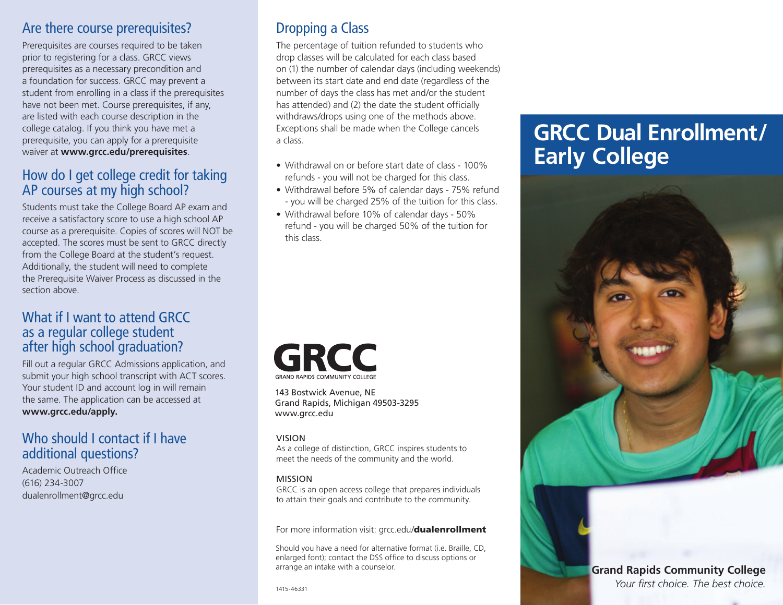#### Are there course prerequisites?

Prerequisites are courses required to be taken prior to registering for a class. GRCC views prerequisites as a necessary precondition and a foundation for success. GRCC may prevent a student from enrolling in a class if the prerequisites have not been met. Course prerequisites, if any, are listed with each course description in the college catalog. If you think you have met a prerequisite, you can apply for a prerequisite waiver at **<www.grcc.edu/prerequisites>**.

### How do I get college credit for taking AP courses at my high school?

Students must take the College Board AP exam and receive a satisfactory score to use a high school AP course as a prerequisite. Copies of scores will NOT be accepted. The scores must be sent to GRCC directly from the College Board at the student's request. Additionally, the student will need to complete the Prerequisite Waiver Process as discussed in the section above.

#### What if I want to attend GRCC as a regular college student after high school graduation?

Fill out a regular GRCC Admissions application, and submit your high school transcript with ACT scores. Your student ID and account log in will remain the same. The application can be accessed at **[www.grcc.edu/apply.](www.grcc.edu/apply)** 

### Who should I contact if I have additional questions?

Academic Outreach Office (616) 234-3007 [dualenrollment@grcc.edu](mailto:dualenrollment@grcc.edu) 

# Dropping a Class

has attended) and (2) the date the student officially The percentage of tuition refunded to students who drop classes will be calculated for each class based on (1) the number of calendar days (including weekends) between its start date and end date (regardless of the number of days the class has met and/or the student withdraws/drops using one of the methods above. Exceptions shall be made when the College cancels a class.

- Withdrawal on or before start date of class 100% refunds - you will not be charged for this class.
- Withdrawal before 5% of calendar days 75% refund - you will be charged 25% of the tuition for this class.
- Withdrawal before 10% of calendar days 50% refund - you will be charged 50% of the tuition for this class.



143 Bostwick Avenue, NE Grand Rapids, Michigan 49503-3295 <www.grcc.edu>

#### VISION

As a college of distinction, GRCC inspires students to meet the needs of the community and the world.

#### MISSION

GRCC is an open access college that prepares individuals to attain their goals and contribute to the community.

For more information visit: grcc.edu/[dualenrollment](https://grcc.edu/dualenrollment)

Should you have a need for alternative format (i.e. Braille, CD, enlarged font); contact the DSS office to discuss options or arrange an intake with a counselor.

# **GRCC Dual Enrollment/ Early College**



#### **Grand Rapids Community College**  *Your first choice. The best choice.*

1415-46331